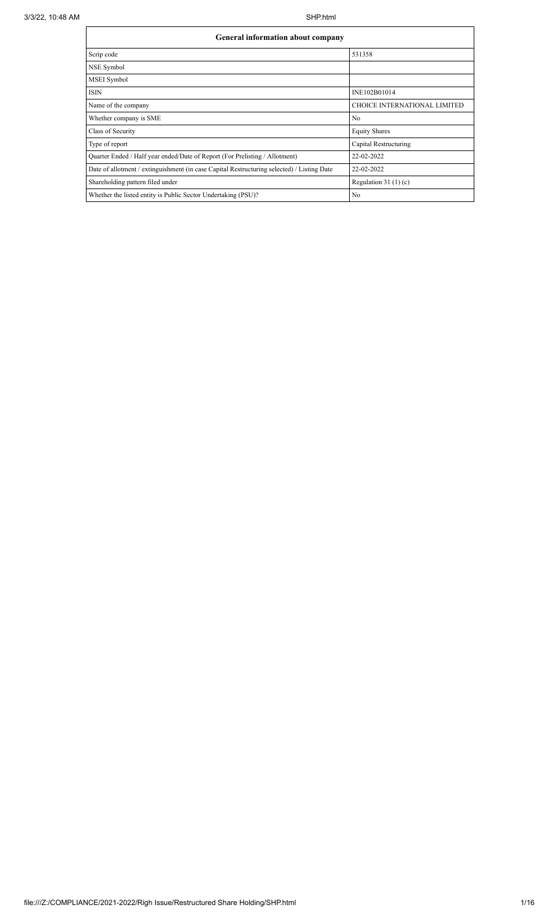$\mathsf{l}$ 

# **General information about company**

| <b>General information about company</b>                                                   |                                     |  |  |  |  |  |  |  |
|--------------------------------------------------------------------------------------------|-------------------------------------|--|--|--|--|--|--|--|
| Scrip code                                                                                 | 531358                              |  |  |  |  |  |  |  |
| NSE Symbol                                                                                 |                                     |  |  |  |  |  |  |  |
| MSEI Symbol                                                                                |                                     |  |  |  |  |  |  |  |
| <b>ISIN</b>                                                                                | INE102B01014                        |  |  |  |  |  |  |  |
| Name of the company                                                                        | <b>CHOICE INTERNATIONAL LIMITED</b> |  |  |  |  |  |  |  |
| Whether company is SME                                                                     | N <sub>0</sub>                      |  |  |  |  |  |  |  |
| Class of Security                                                                          | <b>Equity Shares</b>                |  |  |  |  |  |  |  |
| Type of report                                                                             | Capital Restructuring               |  |  |  |  |  |  |  |
| Quarter Ended / Half year ended/Date of Report (For Prelisting / Allotment)                | 22-02-2022                          |  |  |  |  |  |  |  |
| Date of allotment / extinguishment (in case Capital Restructuring selected) / Listing Date | 22-02-2022                          |  |  |  |  |  |  |  |
| Shareholding pattern filed under                                                           | Regulation $31(1)(c)$               |  |  |  |  |  |  |  |
| Whether the listed entity is Public Sector Undertaking (PSU)?                              | No                                  |  |  |  |  |  |  |  |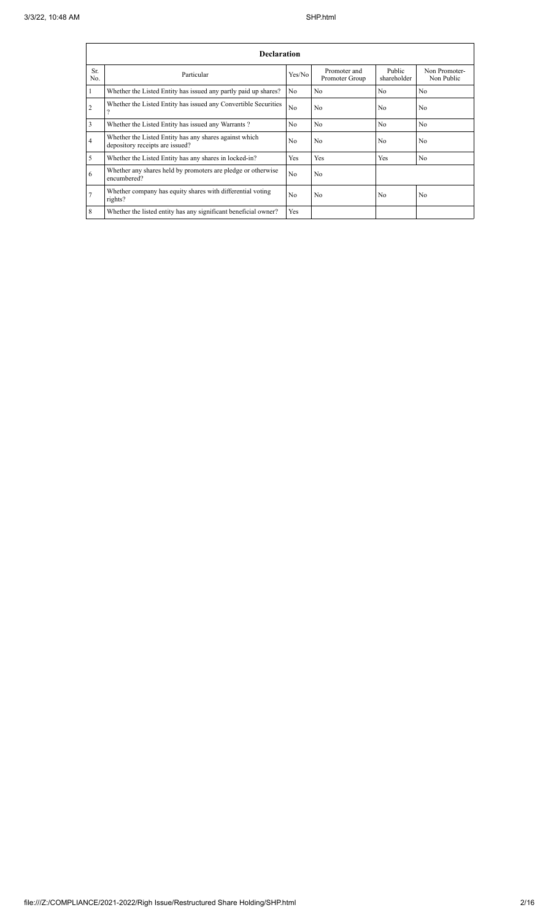|                | <b>Declaration</b>                                                                        |                |                                |                       |                             |  |  |  |  |  |  |
|----------------|-------------------------------------------------------------------------------------------|----------------|--------------------------------|-----------------------|-----------------------------|--|--|--|--|--|--|
| Sr.<br>No.     | Particular                                                                                | Yes/No         | Promoter and<br>Promoter Group | Public<br>shareholder | Non Promoter-<br>Non Public |  |  |  |  |  |  |
| -1             | Whether the Listed Entity has issued any partly paid up shares?                           | No             | N <sub>0</sub>                 | No                    | No                          |  |  |  |  |  |  |
| $\overline{2}$ | Whether the Listed Entity has issued any Convertible Securities                           | No             | N <sub>0</sub>                 | N <sub>0</sub>        | N <sub>o</sub>              |  |  |  |  |  |  |
| 3              | Whether the Listed Entity has issued any Warrants?                                        | N <sub>0</sub> | N <sub>0</sub>                 | No                    | N <sub>0</sub>              |  |  |  |  |  |  |
| $\overline{4}$ | Whether the Listed Entity has any shares against which<br>depository receipts are issued? | N <sub>0</sub> | N <sub>0</sub>                 | N <sub>0</sub>        | N <sub>0</sub>              |  |  |  |  |  |  |
| 5              | Whether the Listed Entity has any shares in locked-in?                                    | Yes            | Yes                            | Yes                   | N <sub>o</sub>              |  |  |  |  |  |  |
| 6              | Whether any shares held by promoters are pledge or otherwise<br>encumbered?               | N <sub>0</sub> | No                             |                       |                             |  |  |  |  |  |  |
| $\overline{7}$ | Whether company has equity shares with differential voting<br>rights?                     | N <sub>0</sub> | N <sub>0</sub>                 | N <sub>0</sub>        | N <sub>0</sub>              |  |  |  |  |  |  |
| 8              | Whether the listed entity has any significant beneficial owner?                           | Yes            |                                |                       |                             |  |  |  |  |  |  |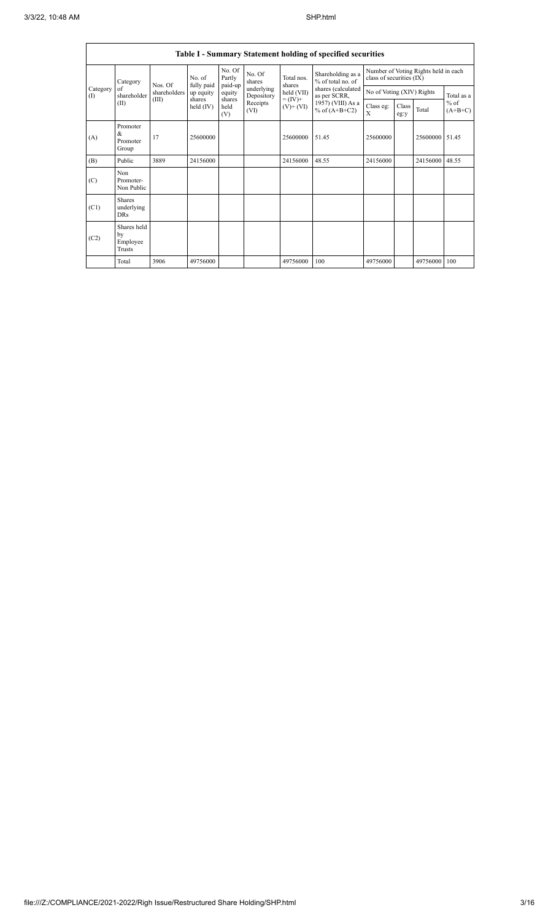|                 | Table I - Summary Statement holding of specified securities |                         |                      |                             |                          |                             |                                        |                                                                  |               |          |                                   |  |
|-----------------|-------------------------------------------------------------|-------------------------|----------------------|-----------------------------|--------------------------|-----------------------------|----------------------------------------|------------------------------------------------------------------|---------------|----------|-----------------------------------|--|
|                 | Category                                                    | Nos. Of<br>shareholders | No. of<br>fully paid | No. Of<br>Partly<br>paid-up | No. Of<br>shares         | Total nos.                  | Shareholding as a<br>% of total no. of | Number of Voting Rights held in each<br>class of securities (IX) |               |          |                                   |  |
| Category<br>(1) | of<br>shareholder                                           |                         | up equity<br>shares  | equity                      | underlying<br>Depository | shares<br>held (VII)        | shares (calculated<br>as per SCRR,     | No of Voting (XIV) Rights                                        |               |          | Total as a<br>$%$ of<br>$(A+B+C)$ |  |
|                 | (II)                                                        | (III)                   | held $(IV)$          | shares<br>held<br>(V)       | Receipts<br>(VI)         | $= (IV) +$<br>$(V)$ + $(V)$ | 1957) (VIII) As a<br>% of $(A+B+C2)$   | Class eg:<br>X                                                   | Class<br>eg:y | Total    |                                   |  |
| (A)             | Promoter<br>&<br>Promoter<br>Group                          | 17                      | 25600000             |                             |                          | 25600000                    | 51.45                                  | 25600000                                                         |               | 25600000 | 51.45                             |  |
| (B)             | Public                                                      | 3889                    | 24156000             |                             |                          | 24156000                    | 48.55                                  | 24156000                                                         |               | 24156000 | 48.55                             |  |
| (C)             | Non<br>Promoter-<br>Non Public                              |                         |                      |                             |                          |                             |                                        |                                                                  |               |          |                                   |  |
| (C1)            | <b>Shares</b><br>underlying<br><b>DRs</b>                   |                         |                      |                             |                          |                             |                                        |                                                                  |               |          |                                   |  |
| (C2)            | Shares held<br>bv<br>Employee<br><b>Trusts</b>              |                         |                      |                             |                          |                             |                                        |                                                                  |               |          |                                   |  |
|                 | Total                                                       | 3906                    | 49756000             |                             |                          | 49756000                    | 100                                    | 49756000                                                         |               | 49756000 | 100                               |  |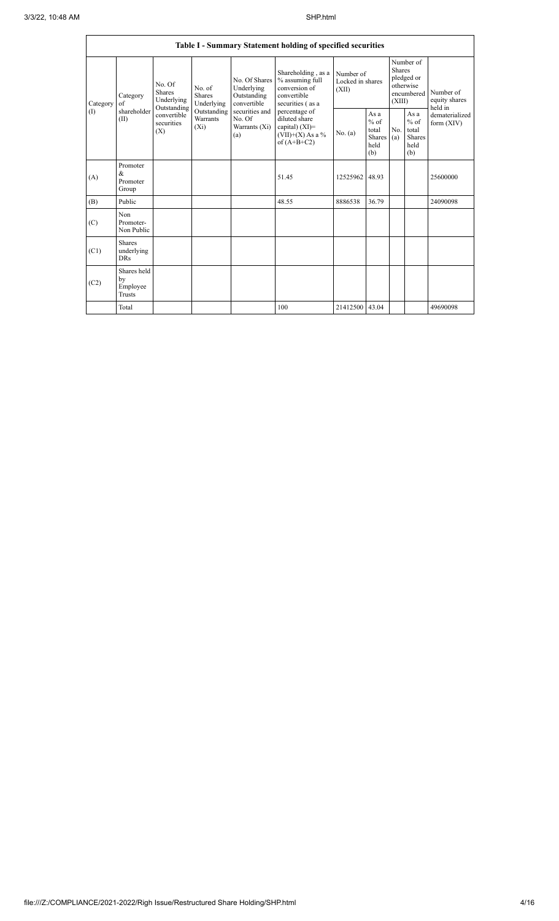|                          | Table I - Summary Statement holding of specified securities |                                                                                                     |                                |                                                                                                               |                                                                                                                                                                                         |                                        |                                                                               |            |                                                         |                                |  |  |
|--------------------------|-------------------------------------------------------------|-----------------------------------------------------------------------------------------------------|--------------------------------|---------------------------------------------------------------------------------------------------------------|-----------------------------------------------------------------------------------------------------------------------------------------------------------------------------------------|----------------------------------------|-------------------------------------------------------------------------------|------------|---------------------------------------------------------|--------------------------------|--|--|
| Category<br>$($ $\Gamma$ | Category<br>of<br>shareholder<br>(II)                       | No. Of<br><b>Shares</b><br>Underlying<br>Outstanding<br>convertible<br>securities<br>$(X_i)$<br>(X) | No. of<br>Shares<br>Underlying | No. Of Shares<br>Underlying<br>Outstanding<br>convertible<br>securities and<br>No. Of<br>Warrants (Xi)<br>(a) | Shareholding, as a<br>% assuming full<br>conversion of<br>convertible<br>securities (as a<br>percentage of<br>diluted share<br>capital) $(XI)$ =<br>$(VII)+(X)$ As a %<br>of $(A+B+C2)$ | Number of<br>Locked in shares<br>(XII) | Number of<br><b>Shares</b><br>pledged or<br>otherwise<br>encumbered<br>(XIII) |            | Number of<br>equity shares<br>held in                   |                                |  |  |
|                          |                                                             |                                                                                                     | Outstanding<br>Warrants        |                                                                                                               |                                                                                                                                                                                         | No. (a)                                | As a<br>$%$ of<br>total<br>Shares<br>held<br>(b)                              | No.<br>(a) | As a<br>$%$ of<br>total<br><b>Shares</b><br>held<br>(b) | dematerialized<br>form $(XIV)$ |  |  |
| (A)                      | Promoter<br>&<br>Promoter<br>Group                          |                                                                                                     |                                |                                                                                                               | 51.45                                                                                                                                                                                   | 12525962                               | 48.93                                                                         |            |                                                         | 25600000                       |  |  |
| (B)                      | Public                                                      |                                                                                                     |                                |                                                                                                               | 48.55                                                                                                                                                                                   | 8886538                                | 36.79                                                                         |            |                                                         | 24090098                       |  |  |
| (C)                      | Non<br>Promoter-<br>Non Public                              |                                                                                                     |                                |                                                                                                               |                                                                                                                                                                                         |                                        |                                                                               |            |                                                         |                                |  |  |
| (C1)                     | <b>Shares</b><br>underlying<br><b>DRs</b>                   |                                                                                                     |                                |                                                                                                               |                                                                                                                                                                                         |                                        |                                                                               |            |                                                         |                                |  |  |
| (C2)                     | Shares held<br>by<br>Employee<br><b>Trusts</b>              |                                                                                                     |                                |                                                                                                               |                                                                                                                                                                                         |                                        |                                                                               |            |                                                         |                                |  |  |
|                          | Total                                                       |                                                                                                     |                                |                                                                                                               | 100                                                                                                                                                                                     | 21412500                               | 43.04                                                                         |            |                                                         | 49690098                       |  |  |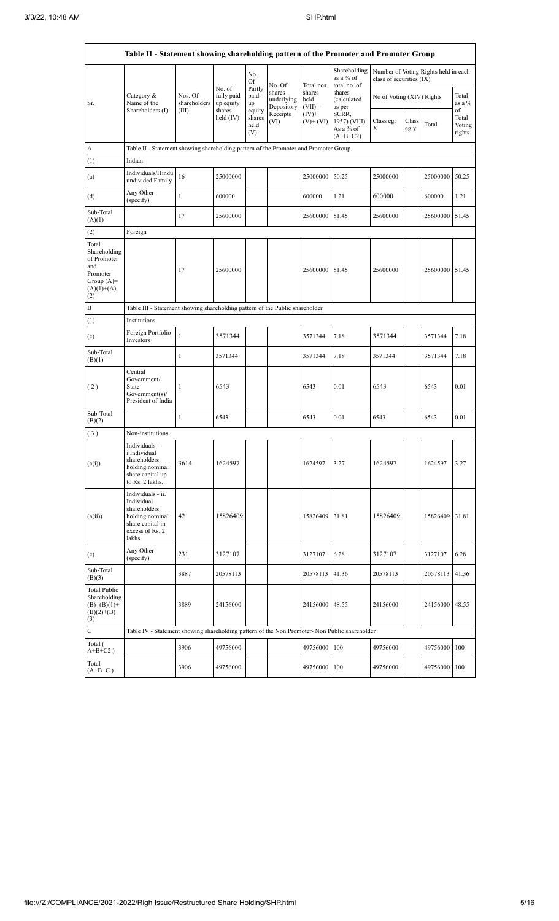|                                                                                                | Table II - Statement showing shareholding pattern of the Promoter and Promoter Group                                |                                  |                                             |                                 |                                    |                             |                                                  |                                                                  |               |          |                           |  |
|------------------------------------------------------------------------------------------------|---------------------------------------------------------------------------------------------------------------------|----------------------------------|---------------------------------------------|---------------------------------|------------------------------------|-----------------------------|--------------------------------------------------|------------------------------------------------------------------|---------------|----------|---------------------------|--|
|                                                                                                |                                                                                                                     |                                  |                                             | No.<br>Of                       | No. Of                             | Total nos.                  | Shareholding<br>as a $%$ of<br>total no. of      | Number of Voting Rights held in each<br>class of securities (IX) |               |          |                           |  |
| Sr.                                                                                            | Category $\&$<br>Name of the<br>Shareholders (I)                                                                    | Nos. Of<br>shareholders<br>(III) | No. of<br>fully paid<br>up equity<br>shares | Partly<br>paid-<br>up<br>equity | shares<br>underlying<br>Depository | shares<br>held<br>$(VII) =$ | shares<br><i>(calculated)</i><br>as per          | No of Voting (XIV) Rights                                        |               |          | Total<br>as a %<br>of     |  |
|                                                                                                |                                                                                                                     |                                  | held $(IV)$                                 | shares<br>held<br>(V)           | Receipts<br>(VI)                   | $(IV)+$<br>$(V)$ + $(VI)$   | SCRR,<br>1957) (VIII)<br>As a % of<br>$(A+B+C2)$ | Class eg:<br>X                                                   | Class<br>eg:y | Total    | Total<br>Voting<br>rights |  |
| A                                                                                              | Table II - Statement showing shareholding pattern of the Promoter and Promoter Group                                |                                  |                                             |                                 |                                    |                             |                                                  |                                                                  |               |          |                           |  |
| (1)                                                                                            | Indian                                                                                                              |                                  |                                             |                                 |                                    |                             |                                                  |                                                                  |               |          |                           |  |
| (a)                                                                                            | Individuals/Hindu<br>undivided Family                                                                               | 16                               | 25000000                                    |                                 |                                    | 25000000                    | 50.25                                            | 25000000                                                         |               | 25000000 | 50.25                     |  |
| (d)                                                                                            | Any Other<br>(specify)                                                                                              | 1                                | 600000                                      |                                 |                                    | 600000                      | 1.21                                             | 600000                                                           |               | 600000   | 1.21                      |  |
| Sub-Total<br>(A)(1)                                                                            |                                                                                                                     | 17                               | 25600000                                    |                                 |                                    | 25600000                    | 51.45                                            | 25600000                                                         |               | 25600000 | 51.45                     |  |
| (2)                                                                                            | Foreign                                                                                                             |                                  |                                             |                                 |                                    |                             |                                                  |                                                                  |               |          |                           |  |
| Total<br>Shareholding<br>of Promoter<br>and<br>Promoter<br>Group $(A)=$<br>$(A)(1)+(A)$<br>(2) |                                                                                                                     | 17                               | 25600000                                    |                                 |                                    | 25600000 51.45              |                                                  | 25600000                                                         |               | 25600000 | 51.45                     |  |
| B                                                                                              | Table III - Statement showing shareholding pattern of the Public shareholder                                        |                                  |                                             |                                 |                                    |                             |                                                  |                                                                  |               |          |                           |  |
| (1)                                                                                            | Institutions                                                                                                        |                                  |                                             |                                 |                                    |                             |                                                  |                                                                  |               |          |                           |  |
| (e)                                                                                            | Foreign Portfolio<br>Investors                                                                                      | $\mathbf{1}$                     | 3571344                                     |                                 |                                    | 3571344                     | 7.18                                             | 3571344                                                          |               | 3571344  | 7.18                      |  |
| Sub-Total<br>(B)(1)                                                                            |                                                                                                                     | 1                                | 3571344                                     |                                 |                                    | 3571344                     | 7.18                                             | 3571344                                                          |               | 3571344  | 7.18                      |  |
| (2)                                                                                            | Central<br>Government/<br>State<br>Government(s)<br>President of India                                              | 1                                | 6543                                        |                                 |                                    | 6543                        | 0.01                                             | 6543                                                             |               | 6543     | 0.01                      |  |
| Sub-Total<br>(B)(2)                                                                            |                                                                                                                     | 1                                | 6543                                        |                                 |                                    | 6543                        | 0.01                                             | 6543                                                             |               | 6543     | 0.01                      |  |
| (3)                                                                                            | Non-institutions                                                                                                    |                                  |                                             |                                 |                                    |                             |                                                  |                                                                  |               |          |                           |  |
| (a(i))                                                                                         | Individuals -<br>i.Individual<br>shareholders<br>holding nominal<br>share capital up<br>to Rs. 2 lakhs.             | 3614                             | 1624597                                     |                                 |                                    | 1624597                     | 3.27                                             | 1624597                                                          |               | 1624597  | 3.27                      |  |
| (a(ii))                                                                                        | Individuals - ii.<br>Individual<br>shareholders<br>holding nominal<br>share capital in<br>excess of Rs. 2<br>lakhs. | 42                               | 15826409                                    |                                 |                                    | 15826409                    | 31.81                                            | 15826409                                                         |               | 15826409 | 31.81                     |  |
| (e)                                                                                            | Any Other<br>(specify)                                                                                              | 231                              | 3127107                                     |                                 |                                    | 3127107                     | 6.28                                             | 3127107                                                          |               | 3127107  | 6.28                      |  |
| Sub-Total<br>(B)(3)                                                                            |                                                                                                                     | 3887                             | 20578113                                    |                                 |                                    | 20578113                    | 41.36                                            | 20578113                                                         |               | 20578113 | 41.36                     |  |
| <b>Total Public</b><br>Shareholding<br>$(B)=(B)(1)+$<br>$(B)(2)+(B)$<br>(3)                    |                                                                                                                     | 3889                             | 24156000                                    |                                 |                                    | 24156000 48.55              |                                                  | 24156000                                                         |               | 24156000 | 48.55                     |  |
| ${\bf C}$                                                                                      | Table IV - Statement showing shareholding pattern of the Non Promoter- Non Public shareholder                       |                                  |                                             |                                 |                                    |                             |                                                  |                                                                  |               |          |                           |  |
| Total (<br>$A+B+C2$ )                                                                          |                                                                                                                     | 3906                             | 49756000                                    |                                 |                                    | 49756000                    | 100                                              | 49756000                                                         |               | 49756000 | 100                       |  |
| Total<br>$(A+B+C)$                                                                             |                                                                                                                     | 3906                             | 49756000                                    |                                 |                                    | 49756000                    | 100                                              | 49756000                                                         |               | 49756000 | 100                       |  |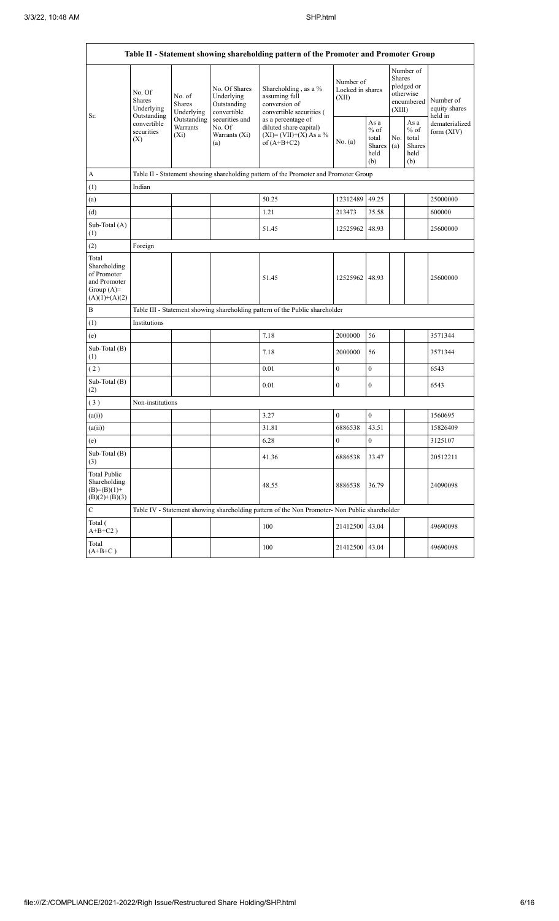|                                                                                         |                                                                                   |                                                                                      |                                                           | Table II - Statement showing shareholding pattern of the Promoter and Promoter Group          |                                        |                                                  |                                                                               |                                                  |                                       |  |  |
|-----------------------------------------------------------------------------------------|-----------------------------------------------------------------------------------|--------------------------------------------------------------------------------------|-----------------------------------------------------------|-----------------------------------------------------------------------------------------------|----------------------------------------|--------------------------------------------------|-------------------------------------------------------------------------------|--------------------------------------------------|---------------------------------------|--|--|
|                                                                                         | No. Of<br>Shares<br>Underlying<br>Outstanding<br>convertible<br>securities<br>(X) | No. of<br><b>Shares</b><br>Underlying                                                | No. Of Shares<br>Underlying<br>Outstanding<br>convertible | Shareholding, as a %<br>assuming full<br>conversion of<br>convertible securities (            | Number of<br>Locked in shares<br>(XII) |                                                  | Number of<br><b>Shares</b><br>pledged or<br>otherwise<br>encumbered<br>(XIII) |                                                  | Number of<br>equity shares<br>held in |  |  |
| Sr.                                                                                     |                                                                                   | Outstanding<br>Warrants<br>$(X_i)$                                                   | securities and<br>No. Of<br>Warrants (Xi)<br>(a)          | as a percentage of<br>diluted share capital)<br>$(XI) = (VII)+(X) As a %$<br>of $(A+B+C2)$    | No. (a)                                | As a<br>$%$ of<br>total<br>Shares<br>held<br>(b) | No.<br>(a)                                                                    | As a<br>$%$ of<br>total<br>Shares<br>held<br>(b) | dematerialized<br>form $(XIV)$        |  |  |
| A                                                                                       |                                                                                   | Table II - Statement showing shareholding pattern of the Promoter and Promoter Group |                                                           |                                                                                               |                                        |                                                  |                                                                               |                                                  |                                       |  |  |
| (1)                                                                                     | Indian                                                                            |                                                                                      |                                                           |                                                                                               |                                        |                                                  |                                                                               |                                                  |                                       |  |  |
| (a)                                                                                     |                                                                                   |                                                                                      |                                                           | 50.25                                                                                         | 12312489                               | 49.25                                            |                                                                               |                                                  | 25000000                              |  |  |
| (d)                                                                                     |                                                                                   |                                                                                      |                                                           | 1.21                                                                                          | 213473                                 | 35.58                                            |                                                                               |                                                  | 600000                                |  |  |
| Sub-Total (A)<br>(1)                                                                    |                                                                                   |                                                                                      |                                                           | 51.45                                                                                         | 12525962 48.93                         |                                                  |                                                                               |                                                  | 25600000                              |  |  |
| (2)                                                                                     | Foreign                                                                           |                                                                                      |                                                           |                                                                                               |                                        |                                                  |                                                                               |                                                  |                                       |  |  |
| Total<br>Shareholding<br>of Promoter<br>and Promoter<br>Group $(A)=$<br>$(A)(1)+(A)(2)$ |                                                                                   |                                                                                      |                                                           | 51.45                                                                                         | 12525962                               | 48.93                                            |                                                                               |                                                  | 25600000                              |  |  |
| B                                                                                       |                                                                                   |                                                                                      |                                                           | Table III - Statement showing shareholding pattern of the Public shareholder                  |                                        |                                                  |                                                                               |                                                  |                                       |  |  |
| (1)                                                                                     | Institutions                                                                      |                                                                                      |                                                           |                                                                                               |                                        |                                                  |                                                                               |                                                  |                                       |  |  |
| (e)                                                                                     |                                                                                   |                                                                                      |                                                           | 7.18                                                                                          | 2000000                                | 56                                               |                                                                               |                                                  | 3571344                               |  |  |
| Sub-Total (B)<br>(1)                                                                    |                                                                                   |                                                                                      |                                                           | 7.18                                                                                          | 2000000                                | 56                                               |                                                                               |                                                  | 3571344                               |  |  |
| (2)                                                                                     |                                                                                   |                                                                                      |                                                           | 0.01                                                                                          | $\boldsymbol{0}$                       | $\overline{0}$                                   |                                                                               |                                                  | 6543                                  |  |  |
| Sub-Total (B)<br>(2)                                                                    |                                                                                   |                                                                                      |                                                           | 0.01                                                                                          | $\mathbf{0}$                           | $\bf{0}$                                         |                                                                               |                                                  | 6543                                  |  |  |
| (3)                                                                                     | Non-institutions                                                                  |                                                                                      |                                                           |                                                                                               |                                        |                                                  |                                                                               |                                                  |                                       |  |  |
| (a(i))                                                                                  |                                                                                   |                                                                                      |                                                           | 3.27                                                                                          | $\mathbf{0}$                           | $\mathbf{0}$                                     |                                                                               |                                                  | 1560695                               |  |  |
| (a(ii))                                                                                 |                                                                                   |                                                                                      |                                                           | 31.81                                                                                         | 6886538                                | 43.51                                            |                                                                               |                                                  | 15826409                              |  |  |
| (e)                                                                                     |                                                                                   |                                                                                      |                                                           | 6.28                                                                                          | $\boldsymbol{0}$                       | $\bf{0}$                                         |                                                                               |                                                  | 3125107                               |  |  |
| Sub-Total (B)<br>(3)                                                                    |                                                                                   |                                                                                      |                                                           | 41.36                                                                                         | 6886538                                | 33.47                                            |                                                                               |                                                  | 20512211                              |  |  |
| <b>Total Public</b><br>Shareholding<br>$(B)=(B)(1)+$<br>$(B)(2)+(B)(3)$                 |                                                                                   |                                                                                      |                                                           | 48.55                                                                                         | 8886538                                | 36.79                                            |                                                                               |                                                  | 24090098                              |  |  |
| C                                                                                       |                                                                                   |                                                                                      |                                                           | Table IV - Statement showing shareholding pattern of the Non Promoter- Non Public shareholder |                                        |                                                  |                                                                               |                                                  |                                       |  |  |
| Total (<br>$A+B+C2$ )                                                                   |                                                                                   |                                                                                      |                                                           | 100                                                                                           | 21412500                               | 43.04                                            |                                                                               |                                                  | 49690098                              |  |  |
| Total<br>$(A+B+C)$                                                                      |                                                                                   |                                                                                      |                                                           | 100                                                                                           | 21412500                               | 43.04                                            |                                                                               |                                                  | 49690098                              |  |  |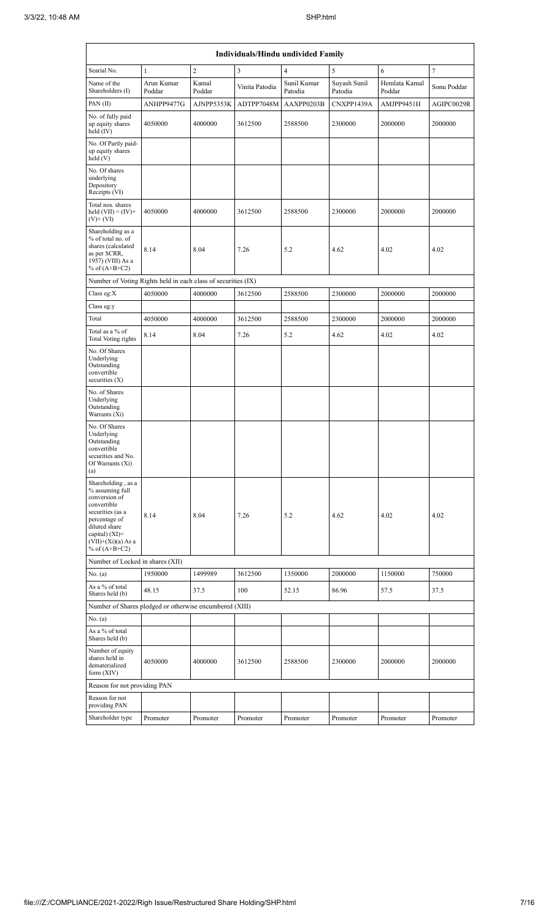| Individuals/Hindu undivided Family                                                                                                                                                         |                      |                 |                |                        |                         |                         |             |  |  |  |  |
|--------------------------------------------------------------------------------------------------------------------------------------------------------------------------------------------|----------------------|-----------------|----------------|------------------------|-------------------------|-------------------------|-------------|--|--|--|--|
| Searial No.                                                                                                                                                                                | $\mathbf{1}$         | $\sqrt{2}$      | 3              | $\overline{4}$         | 5                       | 6                       | $\tau$      |  |  |  |  |
| Name of the<br>Shareholders (I)                                                                                                                                                            | Arun Kumar<br>Poddar | Kamal<br>Poddar | Vinita Patodia | Sunil Kumar<br>Patodia | Suyash Sunil<br>Patodia | Hemlata Kamal<br>Poddar | Sonu Poddar |  |  |  |  |
| PAN(II)                                                                                                                                                                                    | ANHPP9477G           | AJNPP5353K      | ADTPP7048M     | AAXPP0203B             | CNXPP1439A              | AMJPP9451H              | AGIPC0029R  |  |  |  |  |
| No. of fully paid<br>up equity shares<br>held $(IV)$                                                                                                                                       | 4050000              | 4000000         | 3612500        | 2588500                | 2300000                 | 2000000                 | 2000000     |  |  |  |  |
| No. Of Partly paid-<br>up equity shares<br>held(V)                                                                                                                                         |                      |                 |                |                        |                         |                         |             |  |  |  |  |
| No. Of shares<br>underlying<br>Depository<br>Receipts (VI)                                                                                                                                 |                      |                 |                |                        |                         |                         |             |  |  |  |  |
| Total nos. shares<br>held $(VII) = (IV) +$<br>$(V)$ + $(VI)$                                                                                                                               | 4050000              | 4000000         | 3612500        | 2588500                | 2300000                 | 2000000                 | 2000000     |  |  |  |  |
| Shareholding as a<br>% of total no. of<br>shares (calculated<br>as per SCRR,<br>1957) (VIII) As a<br>% of $(A+B+C2)$                                                                       | 8.14                 | 8.04            | 7.26           | 5.2                    | 4.62                    | 4.02                    | 4.02        |  |  |  |  |
| Number of Voting Rights held in each class of securities (IX)                                                                                                                              |                      |                 |                |                        |                         |                         |             |  |  |  |  |
| Class eg: $X$                                                                                                                                                                              | 4050000              | 4000000         | 3612500        | 2588500                | 2300000                 | 2000000                 | 2000000     |  |  |  |  |
| Class eg:y                                                                                                                                                                                 |                      |                 |                |                        |                         |                         |             |  |  |  |  |
| Total                                                                                                                                                                                      | 4050000              | 4000000         | 3612500        | 2588500                | 2300000                 | 2000000                 | 2000000     |  |  |  |  |
| Total as a % of<br>Total Voting rights                                                                                                                                                     | 8.14                 | 8.04            | 7.26           | 5.2                    | 4.62                    | 4.02                    | 4.02        |  |  |  |  |
| No. Of Shares<br>Underlying<br>Outstanding<br>convertible<br>securities $(X)$                                                                                                              |                      |                 |                |                        |                         |                         |             |  |  |  |  |
| No. of Shares<br>Underlying<br>Outstanding<br>Warrants (Xi)                                                                                                                                |                      |                 |                |                        |                         |                         |             |  |  |  |  |
| No. Of Shares<br>Underlying<br>Outstanding<br>convertible<br>securities and No.<br>Of Warrants (Xi)<br>(a)                                                                                 |                      |                 |                |                        |                         |                         |             |  |  |  |  |
| Shareholding, as a<br>$%$ assuming full<br>conversion of<br>convertible<br>securities (as a<br>percentage of<br>diluted share<br>capital) (XI)=<br>$(VII)+(Xi)(a) As a$<br>% of $(A+B+C2)$ | 8.14                 | 8.04            | 7.26           | 5.2                    | 4.62                    | 4.02                    | 4.02        |  |  |  |  |
| Number of Locked in shares (XII)                                                                                                                                                           |                      |                 |                |                        |                         |                         |             |  |  |  |  |
| No. $(a)$                                                                                                                                                                                  | 1950000              | 1499989         | 3612500        | 1350000                | 2000000                 | 1150000                 | 750000      |  |  |  |  |
| As a % of total<br>Shares held (b)                                                                                                                                                         | 48.15                | 37.5            | 100            | 52.15                  | 86.96                   | 57.5                    | 37.5        |  |  |  |  |
| Number of Shares pledged or otherwise encumbered (XIII)                                                                                                                                    |                      |                 |                |                        |                         |                         |             |  |  |  |  |
| No. $(a)$                                                                                                                                                                                  |                      |                 |                |                        |                         |                         |             |  |  |  |  |
| As a % of total<br>Shares held (b)                                                                                                                                                         |                      |                 |                |                        |                         |                         |             |  |  |  |  |
| Number of equity<br>shares held in<br>dematerialized<br>form $(XIV)$                                                                                                                       | 4050000              | 4000000         | 3612500        | 2588500                | 2300000                 | 2000000                 | 2000000     |  |  |  |  |
| Reason for not providing PAN                                                                                                                                                               |                      |                 |                |                        |                         |                         |             |  |  |  |  |
| Reason for not<br>providing PAN                                                                                                                                                            |                      |                 |                |                        |                         |                         |             |  |  |  |  |
| Shareholder type                                                                                                                                                                           | Promoter             | Promoter        | Promoter       | Promoter               | Promoter                | Promoter                | Promoter    |  |  |  |  |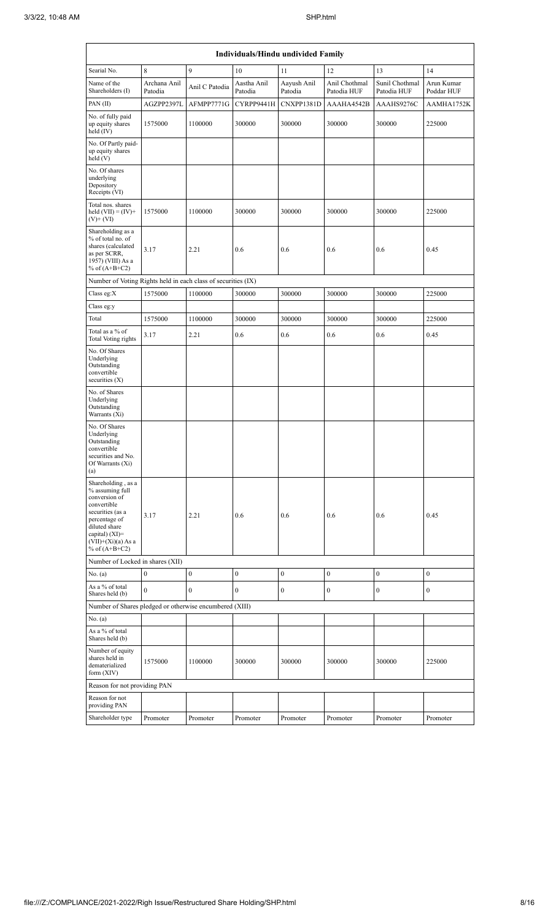| Individuals/Hindu undivided Family                                                                                                                                                       |                         |                  |                        |                        |                              |                               |                          |  |  |  |
|------------------------------------------------------------------------------------------------------------------------------------------------------------------------------------------|-------------------------|------------------|------------------------|------------------------|------------------------------|-------------------------------|--------------------------|--|--|--|
| Searial No.                                                                                                                                                                              | 8                       | 9                | 10                     | 11                     | 12                           | 13                            | 14                       |  |  |  |
| Name of the<br>Shareholders (I)                                                                                                                                                          | Archana Anil<br>Patodia | Anil C Patodia   | Aastha Anil<br>Patodia | Aayush Anil<br>Patodia | Anil Chothmal<br>Patodia HUF | Sunil Chothmal<br>Patodia HUF | Arun Kumar<br>Poddar HUF |  |  |  |
| PAN(II)                                                                                                                                                                                  | AGZPP2397L              | AFMPP7771G       | CYRPP9441H             | CNXPP1381D             | AAAHA4542B                   | AAAHS9276C                    | AAMHA1752K               |  |  |  |
| No. of fully paid<br>up equity shares<br>held (IV)                                                                                                                                       | 1575000                 | 1100000          | 300000                 | 300000                 | 300000                       | 300000                        | 225000                   |  |  |  |
| No. Of Partly paid-<br>up equity shares<br>held(V)                                                                                                                                       |                         |                  |                        |                        |                              |                               |                          |  |  |  |
| No. Of shares<br>underlying<br>Depository<br>Receipts (VI)                                                                                                                               |                         |                  |                        |                        |                              |                               |                          |  |  |  |
| Total nos. shares<br>held $(VII) = (IV) +$<br>$(V)$ + $(VI)$                                                                                                                             | 1575000                 | 1100000          | 300000                 | 300000                 | 300000                       | 300000                        | 225000                   |  |  |  |
| Shareholding as a<br>% of total no. of<br>shares (calculated<br>as per SCRR,<br>1957) (VIII) As a<br>% of $(A+B+C2)$                                                                     | 3.17                    | 2.21             | 0.6                    | 0.6                    | 0.6                          | 0.6                           | 0.45                     |  |  |  |
| Number of Voting Rights held in each class of securities (IX)                                                                                                                            |                         |                  |                        |                        |                              |                               |                          |  |  |  |
| Class eg: $X$                                                                                                                                                                            | 1575000                 | 1100000          | 300000                 | 300000                 | 300000                       | 300000                        | 225000                   |  |  |  |
| Class eg:y                                                                                                                                                                               |                         |                  |                        |                        |                              |                               |                          |  |  |  |
| Total                                                                                                                                                                                    | 1575000                 | 1100000          | 300000                 | 300000                 | 300000                       | 300000                        | 225000                   |  |  |  |
| Total as a % of<br><b>Total Voting rights</b>                                                                                                                                            | 3.17                    | 2.21             | 0.6                    | 0.6                    | 0.6                          | 0.6                           | 0.45                     |  |  |  |
| No. Of Shares<br>Underlying<br>Outstanding<br>convertible<br>securities $(X)$                                                                                                            |                         |                  |                        |                        |                              |                               |                          |  |  |  |
| No. of Shares<br>Underlying<br>Outstanding<br>Warrants (Xi)                                                                                                                              |                         |                  |                        |                        |                              |                               |                          |  |  |  |
| No. Of Shares<br>Underlying<br>Outstanding<br>convertible<br>securities and No.<br>Of Warrants (Xi)<br>(a)                                                                               |                         |                  |                        |                        |                              |                               |                          |  |  |  |
| Shareholding, as a<br>% assuming full<br>conversion of<br>convertible<br>securities (as a<br>percentage of<br>diluted share<br>capital) (XI)=<br>$(VII)+(Xi)(a)$ As a<br>% of $(A+B+C2)$ | 3.17                    | 2.21             | 0.6                    | 0.6                    | 0.6                          | 0.6                           | 0.45                     |  |  |  |
| Number of Locked in shares (XII)                                                                                                                                                         |                         |                  |                        |                        |                              |                               |                          |  |  |  |
| No. (a)                                                                                                                                                                                  | $\boldsymbol{0}$        | $\boldsymbol{0}$ | $\boldsymbol{0}$       | $\mathbf{0}$           | $\boldsymbol{0}$             | $\boldsymbol{0}$              | $\mathbf{0}$             |  |  |  |
| As a % of total<br>Shares held (b)                                                                                                                                                       | $\overline{0}$          | 0                | $\boldsymbol{0}$       | 0                      | $\boldsymbol{0}$             | $\boldsymbol{0}$              | $\boldsymbol{0}$         |  |  |  |
| Number of Shares pledged or otherwise encumbered (XIII)                                                                                                                                  |                         |                  |                        |                        |                              |                               |                          |  |  |  |
| No. (a)                                                                                                                                                                                  |                         |                  |                        |                        |                              |                               |                          |  |  |  |
| As a % of total<br>Shares held (b)                                                                                                                                                       |                         |                  |                        |                        |                              |                               |                          |  |  |  |
| Number of equity<br>shares held in<br>dematerialized<br>form (XIV)                                                                                                                       | 1575000                 | 1100000          | 300000                 | 300000                 | 300000                       | 300000                        | 225000                   |  |  |  |
| Reason for not providing PAN                                                                                                                                                             |                         |                  |                        |                        |                              |                               |                          |  |  |  |
| Reason for not<br>providing PAN                                                                                                                                                          |                         |                  |                        |                        |                              |                               |                          |  |  |  |
| Shareholder type                                                                                                                                                                         | Promoter                | Promoter         | Promoter               | Promoter               | Promoter                     | Promoter                      | Promoter                 |  |  |  |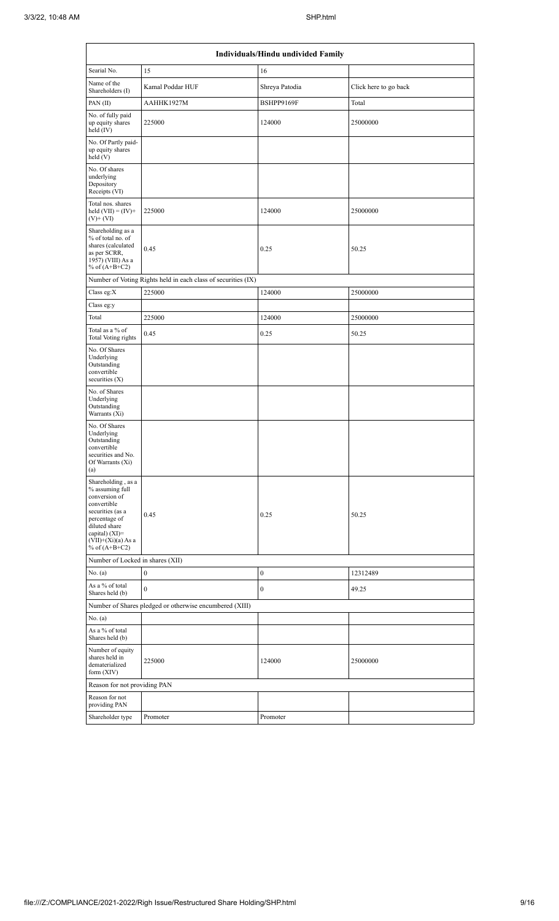| Individuals/Hindu undivided Family                                                                                                                                                       |                                                               |                  |                       |  |  |  |  |  |  |  |
|------------------------------------------------------------------------------------------------------------------------------------------------------------------------------------------|---------------------------------------------------------------|------------------|-----------------------|--|--|--|--|--|--|--|
| Searial No.                                                                                                                                                                              | 15                                                            | 16               |                       |  |  |  |  |  |  |  |
| Name of the<br>Shareholders (I)                                                                                                                                                          | Kamal Poddar HUF                                              | Shreya Patodia   | Click here to go back |  |  |  |  |  |  |  |
| PAN(II)                                                                                                                                                                                  | AAHHK1927M                                                    | BSHPP9169F       | Total                 |  |  |  |  |  |  |  |
| No. of fully paid<br>up equity shares<br>held $(IV)$                                                                                                                                     | 225000                                                        | 124000           | 25000000              |  |  |  |  |  |  |  |
| No. Of Partly paid-<br>up equity shares<br>held(V)                                                                                                                                       |                                                               |                  |                       |  |  |  |  |  |  |  |
| No. Of shares<br>underlying<br>Depository<br>Receipts (VI)                                                                                                                               |                                                               |                  |                       |  |  |  |  |  |  |  |
| Total nos. shares<br>held $(VII) = (IV) +$<br>$(V)$ + $(VI)$                                                                                                                             | 225000                                                        | 124000           | 25000000              |  |  |  |  |  |  |  |
| Shareholding as a<br>% of total no. of<br>shares (calculated<br>as per SCRR,<br>1957) (VIII) As a<br>% of $(A+B+C2)$                                                                     | 0.45                                                          | 0.25             | 50.25                 |  |  |  |  |  |  |  |
|                                                                                                                                                                                          | Number of Voting Rights held in each class of securities (IX) |                  |                       |  |  |  |  |  |  |  |
| Class eg: $X$                                                                                                                                                                            | 225000                                                        | 124000           | 25000000              |  |  |  |  |  |  |  |
| Class eg:y                                                                                                                                                                               |                                                               |                  |                       |  |  |  |  |  |  |  |
| Total                                                                                                                                                                                    | 225000                                                        | 124000           | 25000000              |  |  |  |  |  |  |  |
| Total as a % of<br>Total Voting rights                                                                                                                                                   | 0.45                                                          | 0.25             | 50.25                 |  |  |  |  |  |  |  |
| No. Of Shares<br>Underlying<br>Outstanding<br>convertible<br>securities $(X)$                                                                                                            |                                                               |                  |                       |  |  |  |  |  |  |  |
| No. of Shares<br>Underlying<br>Outstanding<br>Warrants (Xi)                                                                                                                              |                                                               |                  |                       |  |  |  |  |  |  |  |
| No. Of Shares<br>Underlying<br>Outstanding<br>convertible<br>securities and No.<br>Of Warrants (Xi)<br>(a)                                                                               |                                                               |                  |                       |  |  |  |  |  |  |  |
| Shareholding, as a<br>% assuming full<br>conversion of<br>convertible<br>securities (as a<br>percentage of<br>diluted share<br>capital) (XI)=<br>$(VII)+(Xi)(a)$ As a<br>% of $(A+B+C2)$ | 0.45                                                          | 0.25             | 50.25                 |  |  |  |  |  |  |  |
| Number of Locked in shares (XII)                                                                                                                                                         |                                                               |                  |                       |  |  |  |  |  |  |  |
| No. (a)                                                                                                                                                                                  | $\boldsymbol{0}$                                              | $\boldsymbol{0}$ | 12312489              |  |  |  |  |  |  |  |
| As a % of total<br>Shares held (b)                                                                                                                                                       | $\boldsymbol{0}$                                              | $\boldsymbol{0}$ | 49.25                 |  |  |  |  |  |  |  |
|                                                                                                                                                                                          | Number of Shares pledged or otherwise encumbered (XIII)       |                  |                       |  |  |  |  |  |  |  |
| No. $(a)$                                                                                                                                                                                |                                                               |                  |                       |  |  |  |  |  |  |  |
| As a % of total<br>Shares held (b)                                                                                                                                                       |                                                               |                  |                       |  |  |  |  |  |  |  |
| Number of equity<br>shares held in<br>dematerialized<br>form $(XIV)$                                                                                                                     | 225000                                                        | 124000           | 25000000              |  |  |  |  |  |  |  |
| Reason for not providing PAN                                                                                                                                                             |                                                               |                  |                       |  |  |  |  |  |  |  |
| Reason for not<br>providing PAN                                                                                                                                                          |                                                               |                  |                       |  |  |  |  |  |  |  |
| Shareholder type                                                                                                                                                                         | Promoter                                                      | Promoter         |                       |  |  |  |  |  |  |  |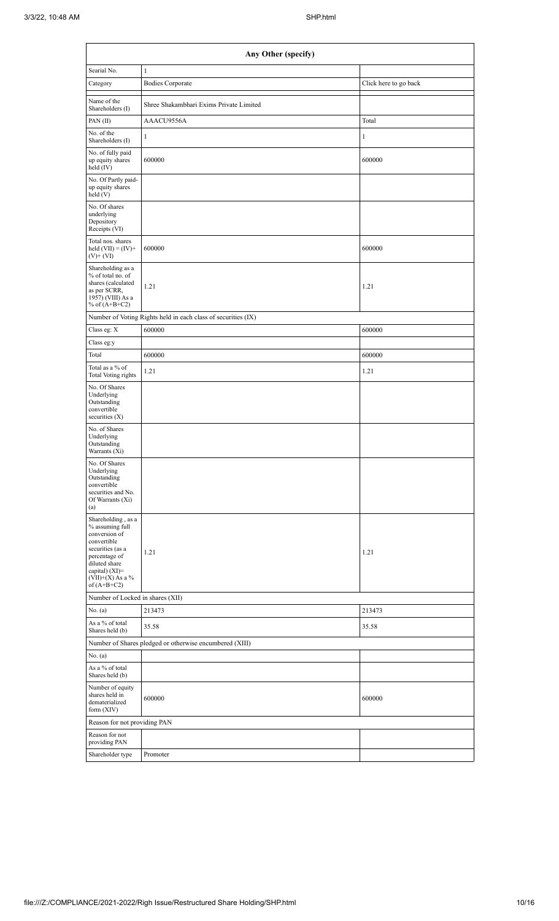| Any Other (specify)                                                                                                                                                                  |                                                               |                       |  |  |  |  |  |  |
|--------------------------------------------------------------------------------------------------------------------------------------------------------------------------------------|---------------------------------------------------------------|-----------------------|--|--|--|--|--|--|
| Searial No.                                                                                                                                                                          | $\mathbf{1}$                                                  |                       |  |  |  |  |  |  |
| Category                                                                                                                                                                             | <b>Bodies Corporate</b>                                       | Click here to go back |  |  |  |  |  |  |
| Name of the<br>Shareholders (I)                                                                                                                                                      | Shree Shakambhari Exims Private Limited                       |                       |  |  |  |  |  |  |
| PAN (II)                                                                                                                                                                             | AAACU9556A                                                    | Total                 |  |  |  |  |  |  |
| No. of the<br>Shareholders (I)                                                                                                                                                       | 1                                                             | 1                     |  |  |  |  |  |  |
| No. of fully paid<br>up equity shares<br>held (IV)                                                                                                                                   | 600000                                                        | 600000                |  |  |  |  |  |  |
| No. Of Partly paid-<br>up equity shares<br>$\text{held}$ (V)                                                                                                                         |                                                               |                       |  |  |  |  |  |  |
| No. Of shares<br>underlying<br>Depository<br>Receipts (VI)                                                                                                                           |                                                               |                       |  |  |  |  |  |  |
| Total nos. shares<br>held $(VII) = (IV) +$<br>$(V)$ + $(VI)$                                                                                                                         | 600000                                                        | 600000                |  |  |  |  |  |  |
| Shareholding as a<br>% of total no. of<br>shares (calculated<br>as per SCRR,<br>1957) (VIII) As a<br>% of $(A+B+C2)$                                                                 | 1.21                                                          | 1.21                  |  |  |  |  |  |  |
|                                                                                                                                                                                      | Number of Voting Rights held in each class of securities (IX) |                       |  |  |  |  |  |  |
| Class eg: X                                                                                                                                                                          | 600000                                                        | 600000                |  |  |  |  |  |  |
| Class eg:y                                                                                                                                                                           |                                                               |                       |  |  |  |  |  |  |
| Total                                                                                                                                                                                | 600000                                                        | 600000                |  |  |  |  |  |  |
| Total as a % of<br><b>Total Voting rights</b>                                                                                                                                        | 1.21                                                          | 1.21                  |  |  |  |  |  |  |
| No. Of Shares<br>Underlying<br>Outstanding<br>convertible<br>securities $(X)$                                                                                                        |                                                               |                       |  |  |  |  |  |  |
| No. of Shares<br>Underlying<br>Outstanding<br>Warrants (Xi)                                                                                                                          |                                                               |                       |  |  |  |  |  |  |
| No. Of Shares<br>Underlying<br>Outstanding<br>convertible<br>securities and No.<br>Of Warrants (Xi)<br>(a)                                                                           |                                                               |                       |  |  |  |  |  |  |
| Shareholding, as a<br>% assuming full<br>conversion of<br>convertible<br>securities (as a<br>percentage of<br>diluted share<br>capital) (XI)=<br>$(VII)+(X)$ As a %<br>of $(A+B+C2)$ | 1.21                                                          | 1.21                  |  |  |  |  |  |  |
| Number of Locked in shares (XII)                                                                                                                                                     |                                                               |                       |  |  |  |  |  |  |
| No. (a)                                                                                                                                                                              | 213473                                                        | 213473                |  |  |  |  |  |  |
| As a % of total<br>Shares held (b)                                                                                                                                                   | 35.58                                                         | 35.58                 |  |  |  |  |  |  |
|                                                                                                                                                                                      | Number of Shares pledged or otherwise encumbered (XIII)       |                       |  |  |  |  |  |  |
| No. (a)<br>As a % of total                                                                                                                                                           |                                                               |                       |  |  |  |  |  |  |
| Shares held (b)<br>Number of equity<br>shares held in<br>dematerialized<br>form (XIV)                                                                                                | 600000                                                        | 600000                |  |  |  |  |  |  |
| Reason for not providing PAN                                                                                                                                                         |                                                               |                       |  |  |  |  |  |  |
| Reason for not<br>providing PAN                                                                                                                                                      |                                                               |                       |  |  |  |  |  |  |
| Shareholder type                                                                                                                                                                     | Promoter                                                      |                       |  |  |  |  |  |  |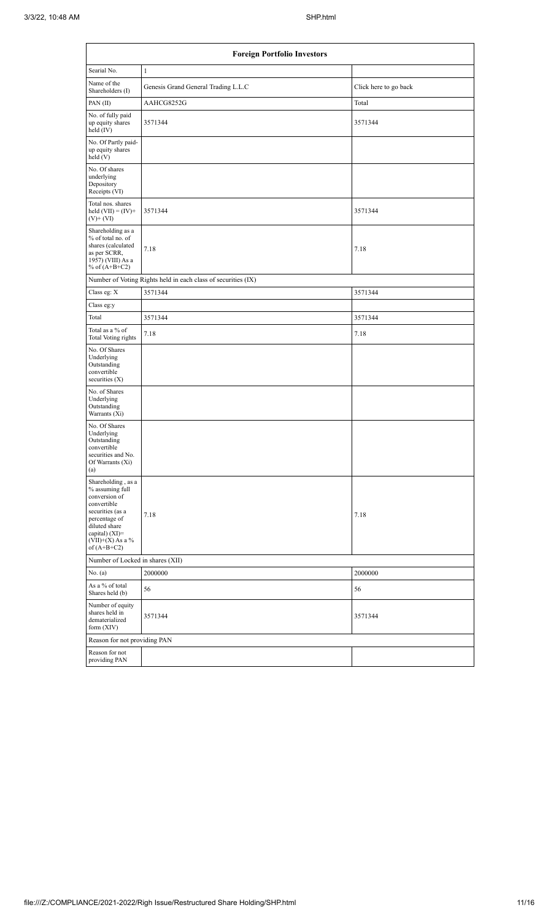|                                                                                                                                                                                        | <b>Foreign Portfolio Investors</b>                            |                       |  |  |  |  |  |  |  |
|----------------------------------------------------------------------------------------------------------------------------------------------------------------------------------------|---------------------------------------------------------------|-----------------------|--|--|--|--|--|--|--|
| Searial No.                                                                                                                                                                            | $\mathbf{1}$                                                  |                       |  |  |  |  |  |  |  |
| Name of the<br>Shareholders (I)                                                                                                                                                        | Genesis Grand General Trading L.L.C                           | Click here to go back |  |  |  |  |  |  |  |
| PAN $(II)$                                                                                                                                                                             | AAHCG8252G                                                    | Total                 |  |  |  |  |  |  |  |
| No. of fully paid<br>up equity shares<br>held $(IV)$                                                                                                                                   | 3571344                                                       | 3571344               |  |  |  |  |  |  |  |
| No. Of Partly paid-<br>up equity shares<br>held(V)                                                                                                                                     |                                                               |                       |  |  |  |  |  |  |  |
| No. Of shares<br>underlying<br>Depository<br>Receipts (VI)                                                                                                                             |                                                               |                       |  |  |  |  |  |  |  |
| Total nos. shares<br>held $(VII) = (IV) +$<br>$(V)$ + $(VI)$                                                                                                                           | 3571344                                                       | 3571344               |  |  |  |  |  |  |  |
| Shareholding as a<br>% of total no. of<br>shares (calculated<br>as per SCRR,<br>1957) (VIII) As a<br>% of $(A+B+C2)$                                                                   | 7.18                                                          | 7.18                  |  |  |  |  |  |  |  |
|                                                                                                                                                                                        | Number of Voting Rights held in each class of securities (IX) |                       |  |  |  |  |  |  |  |
| Class eg: X                                                                                                                                                                            | 3571344                                                       | 3571344               |  |  |  |  |  |  |  |
| Class eg:y                                                                                                                                                                             |                                                               |                       |  |  |  |  |  |  |  |
| Total                                                                                                                                                                                  | 3571344                                                       | 3571344               |  |  |  |  |  |  |  |
| Total as a % of<br>Total Voting rights                                                                                                                                                 | 7.18                                                          | 7.18                  |  |  |  |  |  |  |  |
| No. Of Shares<br>Underlying<br>Outstanding<br>convertible<br>securities $(X)$                                                                                                          |                                                               |                       |  |  |  |  |  |  |  |
| No. of Shares<br>Underlying<br>Outstanding<br>Warrants (Xi)                                                                                                                            |                                                               |                       |  |  |  |  |  |  |  |
| No. Of Shares<br>Underlying<br>Outstanding<br>convertible<br>securities and No.<br>Of Warrants (Xi)<br>(a)                                                                             |                                                               |                       |  |  |  |  |  |  |  |
| Shareholding, as a<br>% assuming full<br>conversion of<br>convertible<br>securities (as a<br>percentage of<br>diluted share<br>capital) $(XI)=$<br>$(VII)+(X)$ As a %<br>of $(A+B+C2)$ | 7.18                                                          | 7.18                  |  |  |  |  |  |  |  |
| Number of Locked in shares (XII)                                                                                                                                                       |                                                               |                       |  |  |  |  |  |  |  |
| No. (a)                                                                                                                                                                                | 2000000                                                       | 2000000               |  |  |  |  |  |  |  |
| As a % of total<br>Shares held (b)                                                                                                                                                     | 56                                                            | 56                    |  |  |  |  |  |  |  |
| Number of equity<br>shares held in<br>dematerialized<br>form $(XIV)$                                                                                                                   | 3571344                                                       | 3571344               |  |  |  |  |  |  |  |
| Reason for not providing PAN                                                                                                                                                           |                                                               |                       |  |  |  |  |  |  |  |
| Reason for not<br>providing PAN                                                                                                                                                        |                                                               |                       |  |  |  |  |  |  |  |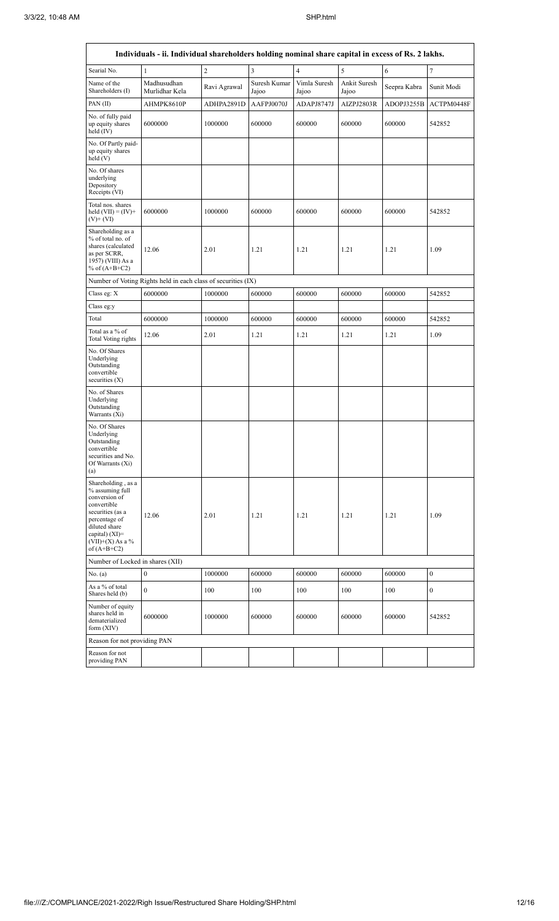|                                                                                                                                                                                        | Individuals - ii. Individual shareholders holding nominal share capital in excess of Rs. 2 lakhs. |                |                       |                       |                       |              |                  |  |  |  |  |
|----------------------------------------------------------------------------------------------------------------------------------------------------------------------------------------|---------------------------------------------------------------------------------------------------|----------------|-----------------------|-----------------------|-----------------------|--------------|------------------|--|--|--|--|
| Searial No.                                                                                                                                                                            | $\mathbf{1}$                                                                                      | $\overline{2}$ | $\overline{3}$        | $\overline{4}$        | 5                     | 6            | $\tau$           |  |  |  |  |
| Name of the<br>Shareholders (I)                                                                                                                                                        | Madhusudhan<br>Murlidhar Kela                                                                     | Ravi Agrawal   | Suresh Kumar<br>Jajoo | Vimla Suresh<br>Jajoo | Ankit Suresh<br>Jajoo | Seepra Kabra | Sunit Modi       |  |  |  |  |
| PAN (II)                                                                                                                                                                               | AHMPK8610P                                                                                        | ADHPA2891D     | AAFPJ0070J            | ADAPJ8747J            | AIZPJ2803R            | ADOPJ3255B   | ACTPM0448F       |  |  |  |  |
| No. of fully paid<br>up equity shares<br>held (IV)                                                                                                                                     | 6000000                                                                                           | 1000000        | 600000                | 600000                | 600000                | 600000       | 542852           |  |  |  |  |
| No. Of Partly paid-<br>up equity shares<br>held (V)                                                                                                                                    |                                                                                                   |                |                       |                       |                       |              |                  |  |  |  |  |
| No. Of shares<br>underlying<br>Depository<br>Receipts (VI)                                                                                                                             |                                                                                                   |                |                       |                       |                       |              |                  |  |  |  |  |
| Total nos. shares<br>held $(VII) = (IV) +$<br>$(V)$ + $(VI)$                                                                                                                           | 6000000                                                                                           | 1000000        | 600000                | 600000                | 600000                | 600000       | 542852           |  |  |  |  |
| Shareholding as a<br>% of total no. of<br>shares (calculated<br>as per SCRR,<br>1957) (VIII) As a<br>% of $(A+B+C2)$                                                                   | 12.06                                                                                             | 2.01           | 1.21                  | 1.21                  | 1.21                  | 1.21         | 1.09             |  |  |  |  |
|                                                                                                                                                                                        | Number of Voting Rights held in each class of securities (IX)                                     |                |                       |                       |                       |              |                  |  |  |  |  |
| Class eg: X                                                                                                                                                                            | 6000000                                                                                           | 1000000        | 600000                | 600000                | 600000                | 600000       | 542852           |  |  |  |  |
| Class eg:y                                                                                                                                                                             |                                                                                                   |                |                       |                       |                       |              |                  |  |  |  |  |
| Total                                                                                                                                                                                  | 6000000                                                                                           | 1000000        | 600000                | 600000                | 600000                | 600000       | 542852           |  |  |  |  |
| Total as a % of<br>Total Voting rights                                                                                                                                                 | 12.06                                                                                             | 2.01           | 1.21                  | 1.21                  | 1.21                  | 1.21         | 1.09             |  |  |  |  |
| No. Of Shares<br>Underlying<br>Outstanding<br>convertible<br>securities (X)                                                                                                            |                                                                                                   |                |                       |                       |                       |              |                  |  |  |  |  |
| No. of Shares<br>Underlying<br>Outstanding<br>Warrants (Xi)                                                                                                                            |                                                                                                   |                |                       |                       |                       |              |                  |  |  |  |  |
| No. Of Shares<br>Underlying<br>Outstanding<br>convertible<br>securities and No.<br>Of Warrants (Xi)<br>(a)                                                                             |                                                                                                   |                |                       |                       |                       |              |                  |  |  |  |  |
| Shareholding, as a<br>% assuming full<br>conversion of<br>convertible<br>securities (as a<br>percentage of<br>diluted share<br>capital) $(XI)=$<br>$(VII)+(X)$ As a %<br>of $(A+B+C2)$ | 12.06                                                                                             | 2.01           | 1.21                  | 1.21                  | 1.21                  | 1.21         | 1.09             |  |  |  |  |
| Number of Locked in shares (XII)                                                                                                                                                       |                                                                                                   |                |                       |                       |                       |              |                  |  |  |  |  |
| No. (a)                                                                                                                                                                                | $\boldsymbol{0}$                                                                                  | 1000000        | 600000                | 600000                | 600000                | 600000       | $\boldsymbol{0}$ |  |  |  |  |
| As a % of total<br>Shares held (b)                                                                                                                                                     | $\mathbf{0}$                                                                                      | 100            | 100                   | 100                   | 100                   | 100          | $\boldsymbol{0}$ |  |  |  |  |
| Number of equity<br>shares held in<br>dematerialized<br>form $(XIV)$                                                                                                                   | 6000000                                                                                           | 1000000        | 600000                | 600000                | 600000                | 600000       | 542852           |  |  |  |  |
| Reason for not providing PAN                                                                                                                                                           |                                                                                                   |                |                       |                       |                       |              |                  |  |  |  |  |
| Reason for not<br>providing PAN                                                                                                                                                        |                                                                                                   |                |                       |                       |                       |              |                  |  |  |  |  |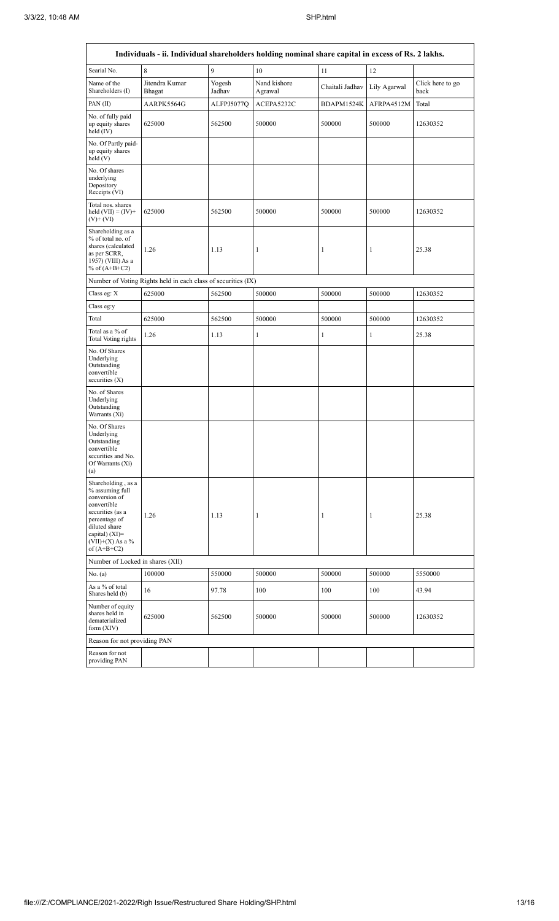| Individuals - ii. Individual shareholders holding nominal share capital in excess of Rs. 2 lakhs.                                                                                    |                          |                                           |                         |                  |              |                          |  |  |  |  |
|--------------------------------------------------------------------------------------------------------------------------------------------------------------------------------------|--------------------------|-------------------------------------------|-------------------------|------------------|--------------|--------------------------|--|--|--|--|
| Searial No.                                                                                                                                                                          | 8                        | 9                                         | 10                      | 11               | 12           |                          |  |  |  |  |
| Name of the<br>Shareholders (I)                                                                                                                                                      | Jitendra Kumar<br>Bhagat | Yogesh<br>Jadhav                          | Nand kishore<br>Agrawal | Chaitali Jadhav  | Lily Agarwal | Click here to go<br>back |  |  |  |  |
| PAN (II)                                                                                                                                                                             | AARPK5564G               | ALFPJ5077Q                                | ACEPA5232C              | BDAPM1524K       | AFRPA4512M   | Total                    |  |  |  |  |
| No. of fully paid<br>up equity shares<br>held $(IV)$                                                                                                                                 | 625000                   | 562500                                    | 500000                  | 500000           | 500000       | 12630352                 |  |  |  |  |
| No. Of Partly paid-<br>up equity shares<br>held(V)                                                                                                                                   |                          |                                           |                         |                  |              |                          |  |  |  |  |
| No. Of shares<br>underlying<br>Depository<br>Receipts (VI)                                                                                                                           |                          |                                           |                         |                  |              |                          |  |  |  |  |
| Total nos. shares<br>held $(VII) = (IV) +$<br>$(V)$ + $(VI)$                                                                                                                         | 625000                   | 562500                                    | 500000                  | 500000           | 500000       | 12630352                 |  |  |  |  |
| Shareholding as a<br>% of total no. of<br>shares (calculated<br>as per SCRR,<br>1957) (VIII) As a<br>% of $(A+B+C2)$                                                                 | 1.26                     | 1.13<br>$\mathbf{1}$<br>$\mathbf{1}$<br>1 |                         |                  | 25.38        |                          |  |  |  |  |
| Number of Voting Rights held in each class of securities (IX)                                                                                                                        |                          |                                           |                         |                  |              |                          |  |  |  |  |
| Class eg: X                                                                                                                                                                          | 625000                   | 562500                                    | 500000                  | 500000           | 500000       | 12630352                 |  |  |  |  |
| Class eg:y                                                                                                                                                                           |                          |                                           |                         |                  |              |                          |  |  |  |  |
| Total                                                                                                                                                                                | 625000                   | 562500                                    | 500000                  | 500000           | 500000       | 12630352                 |  |  |  |  |
| Total as a % of<br><b>Total Voting rights</b>                                                                                                                                        | 1.26                     | 1.13                                      | 1                       | 1                | $\mathbf{1}$ | 25.38                    |  |  |  |  |
| No. Of Shares<br>Underlying<br>Outstanding<br>convertible<br>securities $(X)$                                                                                                        |                          |                                           |                         |                  |              |                          |  |  |  |  |
| No. of Shares<br>Underlying<br>Outstanding<br>Warrants (Xi)                                                                                                                          |                          |                                           |                         |                  |              |                          |  |  |  |  |
| No. Of Shares<br>Underlying<br>Outstanding<br>convertible<br>securities and No.<br>Of Warrants (Xi)<br>(a)                                                                           |                          |                                           |                         |                  |              |                          |  |  |  |  |
| Shareholding, as a<br>% assuming full<br>conversion of<br>convertible<br>securities (as a<br>percentage of<br>diluted share<br>capital) (XI)=<br>$(VII)+(X)$ As a %<br>of $(A+B+C2)$ | 1.26<br>1.13             |                                           | 1                       | 1                | 1            | 25.38                    |  |  |  |  |
| Number of Locked in shares (XII)                                                                                                                                                     |                          |                                           |                         |                  |              |                          |  |  |  |  |
| No. (a)                                                                                                                                                                              | 100000                   | 550000                                    | 500000                  | 500000           | 500000       | 5550000                  |  |  |  |  |
| As a % of total<br>Shares held (b)                                                                                                                                                   | 16                       | 97.78                                     | 100                     | 100              | 100          | 43.94                    |  |  |  |  |
| Number of equity<br>shares held in<br>dematerialized<br>form $(XIV)$                                                                                                                 | 625000                   | 562500<br>500000                          |                         | 500000<br>500000 |              | 12630352                 |  |  |  |  |
| Reason for not providing PAN                                                                                                                                                         |                          |                                           |                         |                  |              |                          |  |  |  |  |
| Reason for not<br>providing PAN                                                                                                                                                      |                          |                                           |                         |                  |              |                          |  |  |  |  |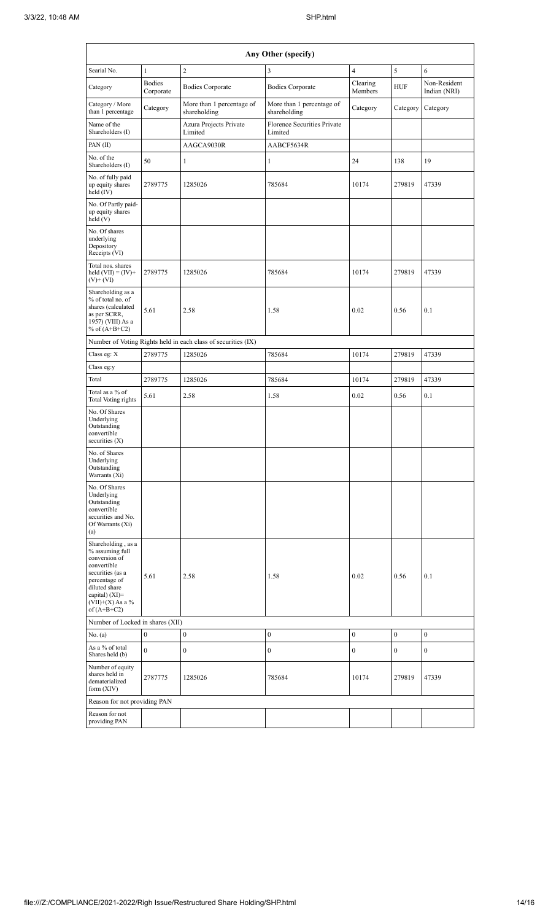| Any Other (specify)                                                                                                                                                                  |                            |                                                               |                                           |                     |                  |                              |  |  |  |
|--------------------------------------------------------------------------------------------------------------------------------------------------------------------------------------|----------------------------|---------------------------------------------------------------|-------------------------------------------|---------------------|------------------|------------------------------|--|--|--|
| Searial No.                                                                                                                                                                          | $\mathbf{1}$               | $\overline{2}$                                                | 3                                         | $\overline{4}$      | 5                | 6                            |  |  |  |
| Category                                                                                                                                                                             | <b>Bodies</b><br>Corporate | <b>Bodies Corporate</b>                                       | <b>Bodies Corporate</b>                   | Clearing<br>Members | <b>HUF</b>       | Non-Resident<br>Indian (NRI) |  |  |  |
| Category / More<br>than 1 percentage                                                                                                                                                 | Category                   | More than 1 percentage of<br>shareholding                     | More than 1 percentage of<br>shareholding | Category            | Category         | Category                     |  |  |  |
| Name of the<br>Shareholders (I)                                                                                                                                                      |                            | Azura Projects Private<br>Limited                             | Florence Securities Private<br>Limited    |                     |                  |                              |  |  |  |
| PAN(II)                                                                                                                                                                              |                            | AAGCA9030R                                                    | AABCF5634R                                |                     |                  |                              |  |  |  |
| No. of the<br>Shareholders (I)                                                                                                                                                       | 50                         | $\mathbf{1}$                                                  | $\mathbf{1}$                              | 24                  | 138              | 19                           |  |  |  |
| No. of fully paid<br>up equity shares<br>held $(IV)$                                                                                                                                 | 2789775                    | 1285026                                                       | 785684                                    | 10174               | 279819           | 47339                        |  |  |  |
| No. Of Partly paid-<br>up equity shares<br>held (V)                                                                                                                                  |                            |                                                               |                                           |                     |                  |                              |  |  |  |
| No. Of shares<br>underlying<br>Depository<br>Receipts (VI)                                                                                                                           |                            |                                                               |                                           |                     |                  |                              |  |  |  |
| Total nos. shares<br>held $(VII) = (IV) +$<br>$(V)$ + $(V)$                                                                                                                          | 2789775                    | 1285026                                                       | 785684                                    | 10174               | 279819           | 47339                        |  |  |  |
| Shareholding as a<br>% of total no. of<br>shares (calculated<br>as per SCRR,<br>1957) (VIII) As a<br>% of $(A+B+C2)$                                                                 | 5.61                       | 2.58                                                          | 1.58                                      | 0.02                | 0.56             | 0.1                          |  |  |  |
|                                                                                                                                                                                      |                            | Number of Voting Rights held in each class of securities (IX) |                                           |                     |                  |                              |  |  |  |
| Class eg: X                                                                                                                                                                          | 2789775                    | 1285026                                                       | 785684                                    | 10174               | 279819           | 47339                        |  |  |  |
| Class eg:y                                                                                                                                                                           |                            |                                                               |                                           |                     |                  |                              |  |  |  |
| Total                                                                                                                                                                                | 2789775                    | 1285026                                                       | 785684                                    | 10174               | 279819           | 47339                        |  |  |  |
| Total as a % of<br>Total Voting rights                                                                                                                                               | 5.61                       | 2.58                                                          | 1.58                                      | 0.02                | 0.56             | 0.1                          |  |  |  |
| No. Of Shares<br>Underlying<br>Outstanding<br>convertible<br>securities $(X)$                                                                                                        |                            |                                                               |                                           |                     |                  |                              |  |  |  |
| No. of Shares<br>Underlying<br>Outstanding<br>Warrants (Xi)                                                                                                                          |                            |                                                               |                                           |                     |                  |                              |  |  |  |
| No. Of Shares<br>Underlying<br>Outstanding<br>convertible<br>securities and No.<br>Of Warrants (Xi)<br>(a)                                                                           |                            |                                                               |                                           |                     |                  |                              |  |  |  |
| Shareholding, as a<br>% assuming full<br>conversion of<br>convertible<br>securities (as a<br>percentage of<br>diluted share<br>capital) (XI)=<br>$(VII)+(X)$ As a %<br>of $(A+B+C2)$ | 5.61                       | 2.58                                                          | 1.58                                      | 0.02                | 0.56             | 0.1                          |  |  |  |
| Number of Locked in shares (XII)                                                                                                                                                     |                            |                                                               |                                           |                     |                  |                              |  |  |  |
| No. $(a)$                                                                                                                                                                            | $\boldsymbol{0}$           | $\bf{0}$                                                      | $\boldsymbol{0}$                          | $\boldsymbol{0}$    | $\boldsymbol{0}$ | $\boldsymbol{0}$             |  |  |  |
| As a % of total<br>Shares held (b)                                                                                                                                                   | $\mathbf{0}$               | $\boldsymbol{0}$                                              | 0                                         | 0                   | $\bf{0}$         | $\bf{0}$                     |  |  |  |
| Number of equity<br>shares held in<br>dematerialized<br>form $(XIV)$                                                                                                                 | 2787775                    | 1285026                                                       | 785684                                    | 10174               | 279819           | 47339                        |  |  |  |
| Reason for not providing PAN                                                                                                                                                         |                            |                                                               |                                           |                     |                  |                              |  |  |  |
| Reason for not<br>providing PAN                                                                                                                                                      |                            |                                                               |                                           |                     |                  |                              |  |  |  |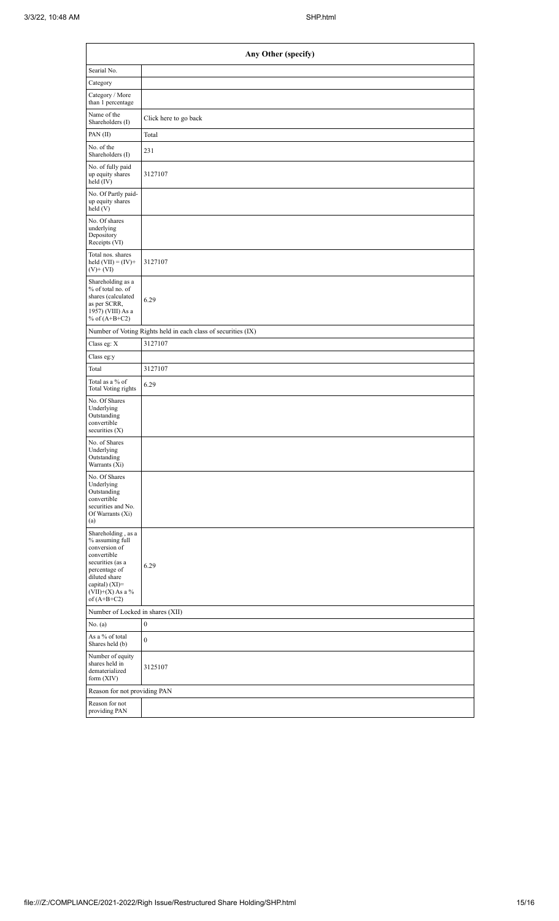| Any Other (specify)                                                                                                                                                                    |                                                               |  |  |  |  |  |  |  |  |
|----------------------------------------------------------------------------------------------------------------------------------------------------------------------------------------|---------------------------------------------------------------|--|--|--|--|--|--|--|--|
| Searial No.                                                                                                                                                                            |                                                               |  |  |  |  |  |  |  |  |
| Category                                                                                                                                                                               |                                                               |  |  |  |  |  |  |  |  |
| Category / More<br>than 1 percentage                                                                                                                                                   |                                                               |  |  |  |  |  |  |  |  |
| Name of the<br>Shareholders (I)                                                                                                                                                        | Click here to go back                                         |  |  |  |  |  |  |  |  |
| PAN (II)                                                                                                                                                                               | Total                                                         |  |  |  |  |  |  |  |  |
| No. of the<br>Shareholders (I)                                                                                                                                                         | 231                                                           |  |  |  |  |  |  |  |  |
| No. of fully paid<br>up equity shares<br>held (IV)                                                                                                                                     | 3127107                                                       |  |  |  |  |  |  |  |  |
| No. Of Partly paid-<br>up equity shares<br>held(V)                                                                                                                                     |                                                               |  |  |  |  |  |  |  |  |
| No. Of shares<br>underlying<br>Depository<br>Receipts (VI)                                                                                                                             |                                                               |  |  |  |  |  |  |  |  |
| Total nos. shares<br>held $(VII) = (IV) +$<br>$(V)$ + $(VI)$                                                                                                                           | 3127107                                                       |  |  |  |  |  |  |  |  |
| Shareholding as a<br>% of total no. of<br>shares (calculated<br>as per SCRR,<br>1957) (VIII) As a<br>% of $(A+B+C2)$                                                                   | 6.29                                                          |  |  |  |  |  |  |  |  |
|                                                                                                                                                                                        | Number of Voting Rights held in each class of securities (IX) |  |  |  |  |  |  |  |  |
| Class eg: X                                                                                                                                                                            | 3127107                                                       |  |  |  |  |  |  |  |  |
| Class eg:y                                                                                                                                                                             |                                                               |  |  |  |  |  |  |  |  |
| Total                                                                                                                                                                                  | 3127107                                                       |  |  |  |  |  |  |  |  |
| Total as a % of<br>Total Voting rights                                                                                                                                                 | 6.29                                                          |  |  |  |  |  |  |  |  |
| No. Of Shares<br>Underlying<br>Outstanding<br>convertible<br>securities $(X)$                                                                                                          |                                                               |  |  |  |  |  |  |  |  |
| No. of Shares<br>Underlying<br>Outstanding<br>Warrants (Xi)                                                                                                                            |                                                               |  |  |  |  |  |  |  |  |
| No. Of Shares<br>Underlying<br>Outstanding<br>convertible<br>securities and No.<br>Of Warrants (Xi)<br>(a)                                                                             |                                                               |  |  |  |  |  |  |  |  |
| Shareholding, as a<br>% assuming full<br>conversion of<br>convertible<br>securities (as a<br>percentage of<br>diluted share<br>capital) $(XI)=$<br>$(VII)+(X)$ As a %<br>of $(A+B+C2)$ | 6.29                                                          |  |  |  |  |  |  |  |  |
| Number of Locked in shares (XII)                                                                                                                                                       |                                                               |  |  |  |  |  |  |  |  |
| No. $(a)$                                                                                                                                                                              | $\boldsymbol{0}$                                              |  |  |  |  |  |  |  |  |
| As a % of total<br>Shares held (b)                                                                                                                                                     | $\boldsymbol{0}$                                              |  |  |  |  |  |  |  |  |
| Number of equity<br>shares held in<br>dematerialized<br>form (XIV)                                                                                                                     | 3125107                                                       |  |  |  |  |  |  |  |  |
| Reason for not providing PAN                                                                                                                                                           |                                                               |  |  |  |  |  |  |  |  |
| Reason for not<br>providing PAN                                                                                                                                                        |                                                               |  |  |  |  |  |  |  |  |